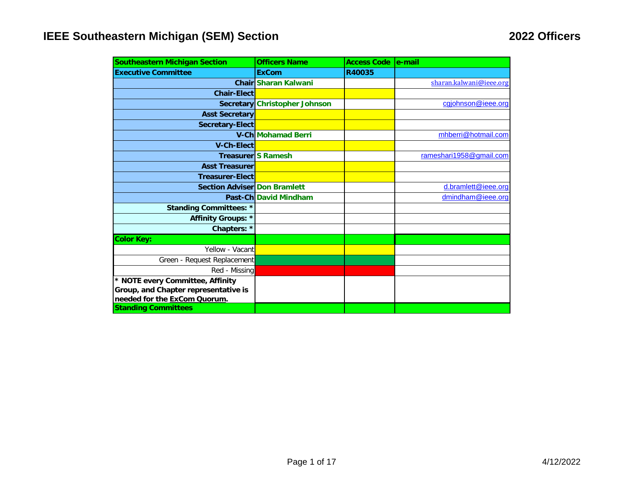| <b>Southeastern Michigan Section</b> | <b>Officers Name</b>          | <b>Access Code</b> | le-mail                 |
|--------------------------------------|-------------------------------|--------------------|-------------------------|
| <b>Executive Committee</b>           | <b>ExCom</b>                  | R40035             |                         |
|                                      | <b>Chair Sharan Kalwani</b>   |                    | sharan.kalwani@ieee.org |
| <b>Chair-Elect</b>                   |                               |                    |                         |
|                                      | Secretary Christopher Johnson |                    | cgjohnson@ieee.org      |
| <b>Asst Secretary</b>                |                               |                    |                         |
| <b>Secretary-Elect</b>               |                               |                    |                         |
|                                      | <b>V-Ch Mohamad Berri</b>     |                    | mhberri@hotmail.com     |
| <b>V-Ch-Elect</b>                    |                               |                    |                         |
|                                      | Treasurer S Ramesh            |                    | rameshari1958@gmail.com |
| <b>Asst Treasurer</b>                |                               |                    |                         |
| <b>Treasurer-Elect</b>               |                               |                    |                         |
| <b>Section Adviser Don Bramlett</b>  |                               |                    | d.bramlett@ieee.org     |
|                                      | Past-Ch David Mindham         |                    | dmindham@ieee.org       |
| <b>Standing Committees: *</b>        |                               |                    |                         |
| Affinity Groups: *                   |                               |                    |                         |
| Chapters: *                          |                               |                    |                         |
| <b>Color Key:</b>                    |                               |                    |                         |
| Yellow - Vacant                      |                               |                    |                         |
| Green - Request Replacement          |                               |                    |                         |
| Red - Missing                        |                               |                    |                         |
| * NOTE every Committee, Affinity     |                               |                    |                         |
| Group, and Chapter representative is |                               |                    |                         |
| needed for the ExCom Quorum.         |                               |                    |                         |
| <b>Standing Committees</b>           |                               |                    |                         |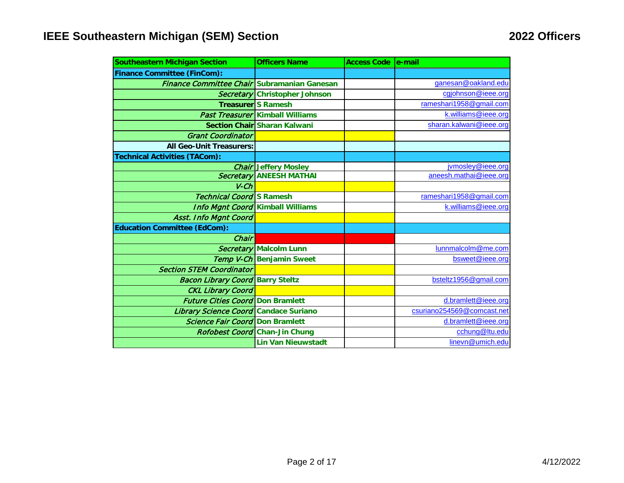| <b>Southeastern Michigan Section</b>               | <b>Officers Name</b>                    | Access Code   e-mail |                            |
|----------------------------------------------------|-----------------------------------------|----------------------|----------------------------|
| <b>Finance Committee (FinCom):</b>                 |                                         |                      |                            |
| <b>Finance Committee Chair Subramanian Ganesan</b> |                                         |                      | ganesan@oakland.edu        |
|                                                    | Secretary Christopher Johnson           |                      | cgjohnson@ieee.org         |
|                                                    | <b>Treasurer</b> S Ramesh               |                      | rameshari1958@gmail.com    |
|                                                    | Past Treasurer Kimball Williams         |                      | k.williams@ieee.org        |
|                                                    | <b>Section Chair Sharan Kalwani</b>     |                      | sharan.kalwani@ieee.org    |
| <b>Grant Coordinator</b>                           |                                         |                      |                            |
| <b>All Geo-Unit Treasurers:</b>                    |                                         |                      |                            |
| <b>Technical Activities (TACom):</b>               |                                         |                      |                            |
|                                                    | <b>Chair Jeffery Mosley</b>             |                      | jvmosley@ieee.org          |
|                                                    | <b>Secretary ANEESH MATHAI</b>          |                      | aneesh.mathai@ieee.org     |
| $V$ - $Ch$                                         |                                         |                      |                            |
| <b>Technical Coord S Ramesh</b>                    |                                         |                      | rameshari1958@gmail.com    |
|                                                    | <b>Info Mgnt Coord Kimball Williams</b> |                      | k.williams@ieee.org        |
| <b>Asst. Info Mgnt Coord</b>                       |                                         |                      |                            |
| <b>Education Committee (EdCom):</b>                |                                         |                      |                            |
| Chair                                              |                                         |                      |                            |
|                                                    | <b>Secretary Malcolm Lunn</b>           |                      | lunnmalcolm@me.com         |
|                                                    | <b>Temp V-Ch Benjamin Sweet</b>         |                      | bsweet@ieee.org            |
| <b>Section STEM Coordinator</b>                    |                                         |                      |                            |
| <b>Bacon Library Coord Barry Steltz</b>            |                                         |                      | bsteltz1956@gmail.com      |
| <b>CKL Library Coord</b>                           |                                         |                      |                            |
| <b>Future Cities Coord Don Bramlett</b>            |                                         |                      | d.bramlett@ieee.org        |
| Library Science Coord Candace Suriano              |                                         |                      | csuriano254569@comcast.net |
| <b>Science Fair Coord Don Bramlett</b>             |                                         |                      | d.bramlett@ieee.org        |
|                                                    | Rofobest Coord Chan-Jin Chung           |                      | cchung@ltu.edu             |
|                                                    | <b>Lin Van Nieuwstadt</b>               |                      | linevn@umich.edu           |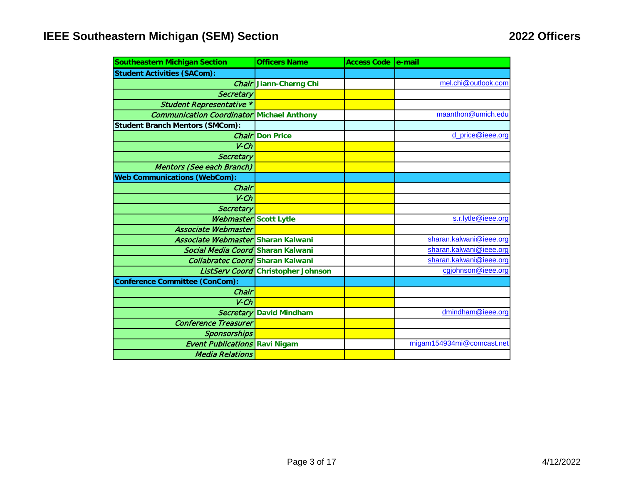| <b>Southeastern Michigan Section</b>             | <b>Officers Name</b>          | <b>Access Code</b> | le-mail                    |
|--------------------------------------------------|-------------------------------|--------------------|----------------------------|
| <b>Student Activities (SACom):</b>               |                               |                    |                            |
|                                                  | <b>Chair</b> Jiann-Cherng Chi |                    | mel.chi@outlook.com        |
| Secretary                                        |                               |                    |                            |
| <b>Student Representative *</b>                  |                               |                    |                            |
| <b>Communication Coordinator Michael Anthony</b> |                               |                    | maanthon@umich.edu         |
| <b>Student Branch Mentors (SMCom):</b>           |                               |                    |                            |
| Chair                                            | <b>Don Price</b>              |                    | d_price@ieee.org           |
| $V$ - $Ch$                                       |                               |                    |                            |
| Secretary                                        |                               |                    |                            |
| <b>Mentors (See each Branch)</b>                 |                               |                    |                            |
| <b>Web Communications (WebCom):</b>              |                               |                    |                            |
| Chair                                            |                               |                    |                            |
| $V$ - $Ch$                                       |                               |                    |                            |
| <b>Secretary</b>                                 |                               |                    |                            |
| <b>Webmaster</b> Scott Lytle                     |                               |                    | s.r.lytle@ieee.org         |
| <b>Associate Webmaster</b>                       |                               |                    |                            |
| Associate Webmaster Sharan Kalwani               |                               |                    | sharan.kalwani@ieee.org    |
| Social Media Coord Sharan Kalwani                |                               |                    | sharan.kalwani@ieee.org    |
| <b>Collabratec Coord</b> Sharan Kalwani          |                               |                    | sharan.kalwani@ieee.org    |
| ListServ Coord                                   | <b>Christopher Johnson</b>    |                    | cgjohnson@ieee.org         |
| <b>Conference Committee (ConCom):</b>            |                               |                    |                            |
| Chair                                            |                               |                    |                            |
| $V$ -Ch                                          |                               |                    |                            |
| <b>Secretary</b>                                 | <b>David Mindham</b>          |                    | dmindham@ieee.org          |
| <b>Conference Treasurer</b>                      |                               |                    |                            |
| Sponsorships                                     |                               |                    |                            |
| <b>Event Publications</b>                        | <b>Ravi Nigam</b>             |                    | rnigam154934mi@comcast.net |
| <b>Media Relations</b>                           |                               |                    |                            |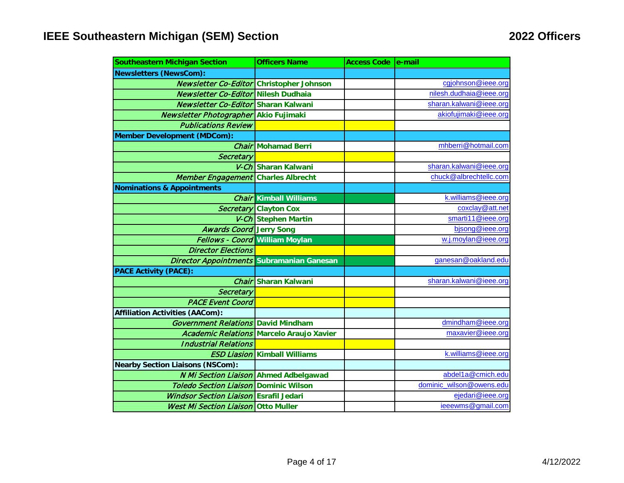| <b>Southeastern Michigan Section</b>          | <b>Officers Name</b>                            | Access Code   e-mail |                          |
|-----------------------------------------------|-------------------------------------------------|----------------------|--------------------------|
| <b>Newsletters (NewsCom):</b>                 |                                                 |                      |                          |
| Newsletter Co-Editor Christopher Johnson      |                                                 |                      | cgjohnson@ieee.org       |
| <b>Newsletter Co-Editor Nilesh Dudhaia</b>    |                                                 |                      | nilesh.dudhaia@ieee.org  |
| <b>Newsletter Co-Editor Sharan Kalwani</b>    |                                                 |                      | sharan.kalwani@ieee.org  |
| Newsletter Photographer Akio Fujimaki         |                                                 |                      | akiofujimaki@ieee.org    |
| <b>Publications Review</b>                    |                                                 |                      |                          |
| <b>Member Development (MDCom):</b>            |                                                 |                      |                          |
|                                               | <b>Chair Mohamad Berri</b>                      |                      | mhberri@hotmail.com      |
| Secretary                                     |                                                 |                      |                          |
|                                               | V-Ch Sharan Kalwani                             |                      | sharan.kalwani@ieee.org  |
| Member Engagement Charles Albrecht            |                                                 |                      | chuck@albrechtellc.com   |
| <b>Nominations &amp; Appointments</b>         |                                                 |                      |                          |
|                                               | <b>Chair Kimball Williams</b>                   |                      | k.williams@ieee.org      |
|                                               | Secretary Clayton Cox                           |                      | coxclay@att.net          |
|                                               | V-Ch Stephen Martin                             |                      | smarti11@ieee.org        |
| <b>Awards Coord Jerry Song</b>                |                                                 |                      | bjsong@ieee.org          |
|                                               | Fellows - Coord William Moylan                  |                      | w.j.moylan@ieee.org      |
| <b>Director Elections</b>                     |                                                 |                      |                          |
| Director Appointments Subramanian Ganesan     |                                                 |                      | ganesan@oakland.edu      |
| <b>PACE Activity (PACE):</b>                  |                                                 |                      |                          |
|                                               | Chair Sharan Kalwani                            |                      | sharan.kalwani@ieee.org  |
| Secretary                                     |                                                 |                      |                          |
| <b>PACE Event Coord</b>                       |                                                 |                      |                          |
| <b>Affiliation Activities (AACom):</b>        |                                                 |                      |                          |
| <b>Government Relations David Mindham</b>     |                                                 |                      | dmindham@ieee.org        |
|                                               | <b>Academic Relations Marcelo Araujo Xavier</b> |                      | maxavier@ieee.org        |
| <b>Industrial Relations</b>                   |                                                 |                      |                          |
|                                               | <b>ESD Liasion Kimball Williams</b>             |                      | k.williams@ieee.org      |
| <b>Nearby Section Liaisons (NSCom):</b>       |                                                 |                      |                          |
| <b>N Mi Section Liaison Ahmed Adbelgawad</b>  |                                                 |                      | abdel1a@cmich.edu        |
| <b>Toledo Section Liaison</b>                 | <b>Dominic Wilson</b>                           |                      | dominic wilson@owens.edu |
| <b>Windsor Section Liaison Esrafil Jedari</b> |                                                 |                      | ejedari@ieee.org         |
| <b>West Mi Section Liaison Otto Muller</b>    |                                                 |                      | ieeewms@gmail.com        |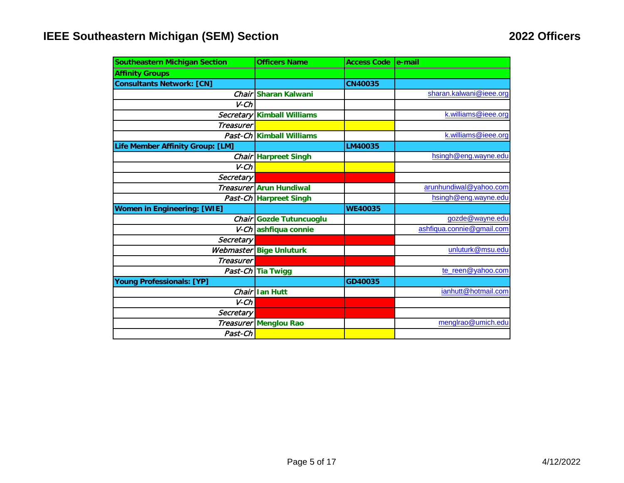| <b>Southeastern Michigan Section</b> | <b>Officers Name</b>        | Access Code e-mail |                           |
|--------------------------------------|-----------------------------|--------------------|---------------------------|
| <b>Affinity Groups</b>               |                             |                    |                           |
| <b>Consultants Network: [CN]</b>     |                             | <b>CN40035</b>     |                           |
|                                      | Chair Sharan Kalwani        |                    | sharan.kalwani@ieee.org   |
| $V$ - $Ch$                           |                             |                    |                           |
|                                      | Secretary Kimball Williams  |                    | k.williams@ieee.org       |
| <b>Treasurer</b>                     |                             |                    |                           |
|                                      | Past-Ch Kimball Williams    |                    | k.williams@ieee.org       |
| Life Member Affinity Group: [LM]     |                             | LM40035            |                           |
|                                      | <b>Chair Harpreet Singh</b> |                    | hsingh@eng.wayne.edu      |
| $V$ - $Ch$                           |                             |                    |                           |
| Secretary                            |                             |                    |                           |
|                                      | Treasurer Arun Hundiwal     |                    | arunhundiwal@yahoo.com    |
|                                      | Past-Ch Harpreet Singh      |                    | hsingh@eng.wayne.edu      |
| <b>Women in Engineering: [WIE]</b>   |                             | <b>WE40035</b>     |                           |
|                                      | Chair Gozde Tutuncuoglu     |                    | gozde@wayne.edu           |
|                                      | V-Ch ashfiqua connie        |                    | ashfiqua.connie@gmail.com |
| Secretary                            |                             |                    |                           |
|                                      | Webmaster Bige Unluturk     |                    | unluturk@msu.edu          |
| <b>Treasurer</b>                     |                             |                    |                           |
|                                      | Past-Ch Tia Twigg           |                    | te_reen@yahoo.com         |
| <b>Young Professionals: [YP]</b>     |                             | GD40035            |                           |
|                                      | Chair lan Hutt              |                    | ianhutt@hotmail.com       |
| $V$ - $Ch$                           |                             |                    |                           |
| Secretary                            |                             |                    |                           |
|                                      | Treasurer Menglou Rao       |                    | menglrao@umich.edu        |
| Past-Ch                              |                             |                    |                           |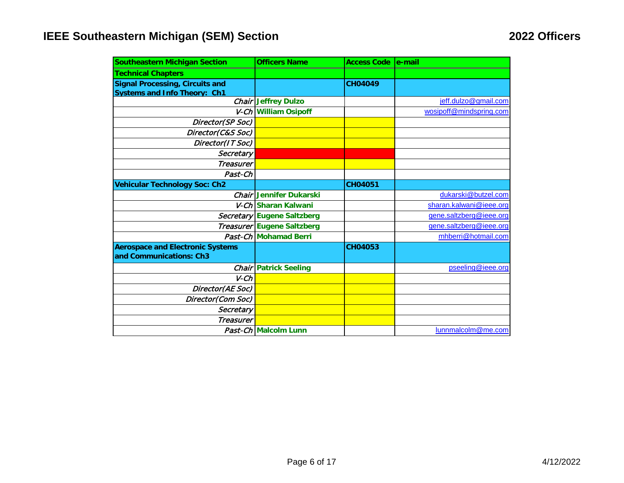| <b>Southeastern Michigan Section</b>    | <b>Officers Name</b>         | <b>Access Code</b> | le-mail                 |
|-----------------------------------------|------------------------------|--------------------|-------------------------|
| <b>Technical Chapters</b>               |                              |                    |                         |
| <b>Signal Processing, Circuits and</b>  |                              | <b>CH04049</b>     |                         |
| <b>Systems and Info Theory: Ch1</b>     |                              |                    |                         |
|                                         | <b>Chair Jeffrey Dulzo</b>   |                    | jeff.dulzo@gmail.com    |
|                                         | V-Ch William Osipoff         |                    | wosipoff@mindspring.com |
| Director(SP Soc)                        |                              |                    |                         |
| Director(C&S Soc)                       |                              |                    |                         |
| Director(IT Soc)                        |                              |                    |                         |
| Secretary                               |                              |                    |                         |
| <b>Treasurer</b>                        |                              |                    |                         |
| Past-Ch                                 |                              |                    |                         |
| <b>Vehicular Technology Soc: Ch2</b>    |                              | CH04051            |                         |
|                                         | Chair Jennifer Dukarski      |                    | dukarski@butzel.com     |
|                                         | V-Ch Sharan Kalwani          |                    | sharan.kalwani@ieee.org |
|                                         | Secretary Eugene Saltzberg   |                    | gene.saltzberg@ieee.org |
|                                         | Treasurer Eugene Saltzberg   |                    | gene.saltzberg@ieee.org |
|                                         | Past-Ch Mohamad Berri        |                    | mhberri@hotmail.com     |
| <b>Aerospace and Electronic Systems</b> |                              | CH04053            |                         |
| and Communications: Ch3                 |                              |                    |                         |
|                                         | <b>Chair Patrick Seeling</b> |                    | pseeling@ieee.org       |
| $V$ - $Ch$                              |                              |                    |                         |
| Director(AE Soc)                        |                              |                    |                         |
| Director(Com Soc)                       |                              |                    |                         |
| Secretary                               |                              |                    |                         |
| <b>Treasurer</b>                        |                              |                    |                         |
|                                         | Past-Ch Malcolm Lunn         |                    | lunnmalcolm@me.com      |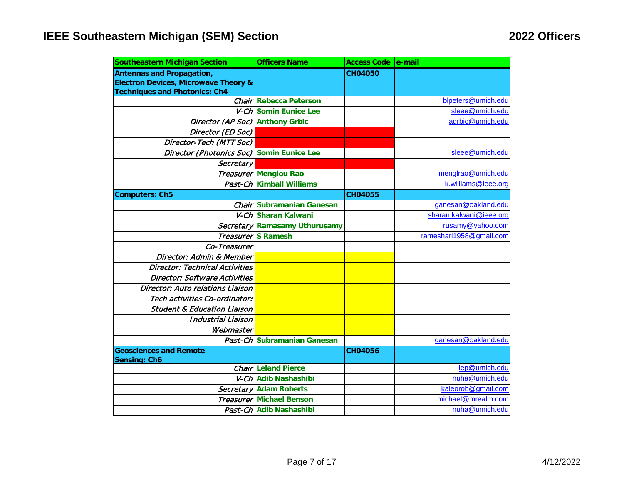| <b>Southeastern Michigan Section</b>            | <b>Officers Name</b>            | Access Code e-mail |                         |
|-------------------------------------------------|---------------------------------|--------------------|-------------------------|
| <b>Antennas and Propagation,</b>                |                                 | <b>CH04050</b>     |                         |
| <b>Electron Devices, Microwave Theory &amp;</b> |                                 |                    |                         |
| <b>Techniques and Photonics: Ch4</b>            |                                 |                    |                         |
|                                                 | <b>Chair Rebecca Peterson</b>   |                    | blpeters@umich.edu      |
|                                                 | V-Ch Somin Eunice Lee           |                    | sleee@umich.edu         |
| Director (AP Soc) Anthony Grbic                 |                                 |                    | agrbic@umich.edu        |
| Director (ED Soc)                               |                                 |                    |                         |
| Director-Tech (MTT Soc)                         |                                 |                    |                         |
| Director (Photonics Soc) Somin Eunice Lee       |                                 |                    | sleee@umich.edu         |
| Secretary                                       |                                 |                    |                         |
|                                                 | Treasurer Menglou Rao           |                    | menglrao@umich.edu      |
|                                                 | Past-Ch Kimball Williams        |                    | k.williams@ieee.org     |
| <b>Computers: Ch5</b>                           |                                 | <b>CH04055</b>     |                         |
|                                                 | Chair Subramanian Ganesan       |                    | ganesan@oakland.edu     |
|                                                 | V-Ch Sharan Kalwani             |                    | sharan.kalwani@ieee.org |
|                                                 | Secretary Ramasamy Uthurusamy   |                    | rusamy@yahoo.com        |
|                                                 | <b>Treasurer</b> S Ramesh       |                    | rameshari1958@gmail.com |
| Co-Treasurer                                    |                                 |                    |                         |
| Director: Admin & Member                        |                                 |                    |                         |
| <b>Director: Technical Activities</b>           |                                 |                    |                         |
| <b>Director: Software Activities</b>            |                                 |                    |                         |
| Director: Auto relations Liaison                |                                 |                    |                         |
| Tech activities Co-ordinator:                   |                                 |                    |                         |
| <b>Student &amp; Education Liaison</b>          |                                 |                    |                         |
| <b>Industrial Liaison</b>                       |                                 |                    |                         |
| Webmaster                                       |                                 |                    |                         |
|                                                 | Past-Ch Subramanian Ganesan     |                    | ganesan@oakland.edu     |
| <b>Geosciences and Remote</b>                   |                                 | <b>CH04056</b>     |                         |
| <b>Sensing: Ch6</b>                             |                                 |                    |                         |
|                                                 | <b>Chair Leland Pierce</b>      |                    | lep@umich.edu           |
|                                                 | V-Ch Adib Nashashibi            |                    | nuha@umich.edu          |
|                                                 | <b>Secretary Adam Roberts</b>   |                    | kaleorob@gmail.com      |
|                                                 | <b>Treasurer Michael Benson</b> |                    | michael@mrealm.com      |
|                                                 | Past-Ch Adib Nashashibi         |                    | nuha@umich.edu          |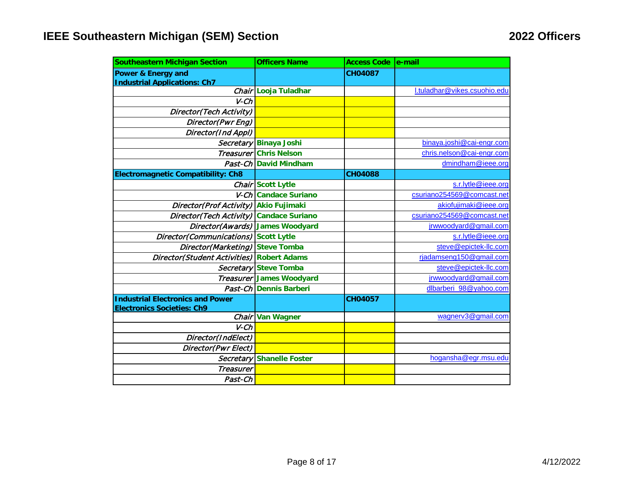| <b>Southeastern Michigan Section</b>      | <b>Officers Name</b>            | <b>Access Code e-mail</b> |                              |
|-------------------------------------------|---------------------------------|---------------------------|------------------------------|
| Power & Energy and                        |                                 | <b>CH04087</b>            |                              |
| <b>Industrial Applications: Ch7</b>       |                                 |                           |                              |
|                                           | Chair Looja Tuladhar            |                           | l.tuladhar@vikes.csuohio.edu |
| $V$ - $Ch$                                |                                 |                           |                              |
| Director(Tech Activity)                   |                                 |                           |                              |
| Director(Pwr Eng)                         |                                 |                           |                              |
| Director(Ind Appl)                        |                                 |                           |                              |
|                                           | Secretary Binaya Joshi          |                           | binaya.joshi@cai-engr.com    |
|                                           | <b>Treasurer Chris Nelson</b>   |                           | chris.nelson@cai-engr.com    |
|                                           | Past-Ch David Mindham           |                           | dmindham@ieee.org            |
| <b>Electromagnetic Compatibility: Ch8</b> |                                 | <b>CH04088</b>            |                              |
|                                           | Chair Scott Lytle               |                           | s.r.lytle@ieee.org           |
|                                           | V-Ch Candace Suriano            |                           | csuriano254569@comcast.net   |
| Director(Prof Activity) Akio Fujimaki     |                                 |                           | akiofujimaki@ieee.org        |
| Director(Tech Activity) Candace Suriano   |                                 |                           | csuriano254569@comcast.net   |
| Director(Awards) James Woodyard           |                                 |                           | jrwwoodyard@gmail.com        |
| Director(Communications) Scott Lytle      |                                 |                           | s.r.lytle@ieee.org           |
| Director(Marketing) Steve Tomba           |                                 |                           | steve@epictek-llc.com        |
| Director(Student Activities) Robert Adams |                                 |                           | rjadamseng150@gmail.com      |
|                                           | Secretary Steve Tomba           |                           | steve@epictek-llc.com        |
|                                           | <b>Treasurer James Woodyard</b> |                           | jrwwoodyard@gmail.com        |
|                                           | Past-Ch Dennis Barberi          |                           | dlbarberi 98@yahoo.com       |
| <b>Industrial Electronics and Power</b>   |                                 | CH04057                   |                              |
| <b>Electronics Societies: Ch9</b>         |                                 |                           |                              |
|                                           | Chair Van Wagner                |                           | wagnerv3@gmail.com           |
| $V$ - $Ch$                                |                                 |                           |                              |
| Director(IndElect)                        |                                 |                           |                              |
| Director(Pwr Elect)                       |                                 |                           |                              |
|                                           | Secretary Shanelle Foster       |                           | hogansha@egr.msu.edu         |
| <b>Treasurer</b>                          |                                 |                           |                              |
| Past-Ch                                   |                                 |                           |                              |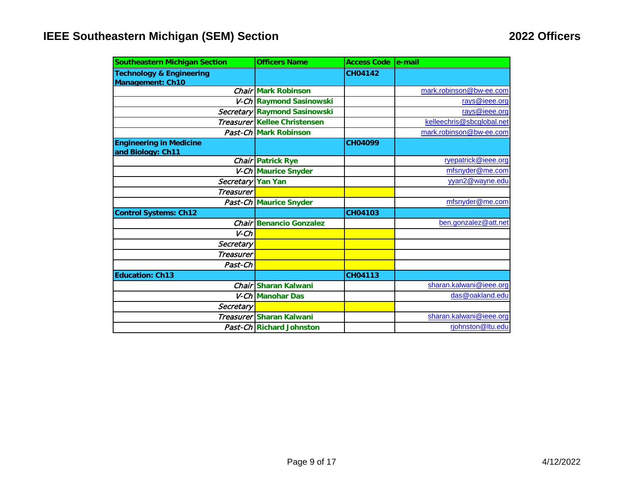| <b>Southeastern Michigan Section</b>                           | <b>Officers Name</b>           | <b>Access Code</b> | le-mail                   |
|----------------------------------------------------------------|--------------------------------|--------------------|---------------------------|
| <b>Technology &amp; Engineering</b><br><b>Management: Ch10</b> |                                | <b>CH04142</b>     |                           |
|                                                                | <b>Chair Mark Robinson</b>     |                    | mark.robinson@bw-ee.com   |
|                                                                | V-Ch Raymond Sasinowski        |                    | rays@ieee.org             |
|                                                                | Secretary Raymond Sasinowski   |                    | rays@ieee.org             |
|                                                                | Treasurer Kellee Christensen   |                    | kelleechris@sbcglobal.net |
|                                                                | Past-Ch Mark Robinson          |                    | mark.robinson@bw-ee.com   |
| <b>Engineering in Medicine</b><br>and Biology: Ch11            |                                | <b>CH04099</b>     |                           |
|                                                                | Chair Patrick Rye              |                    | ryepatrick@ieee.org       |
|                                                                | V-Ch Maurice Snyder            |                    | mfsnyder@me.com           |
| Secretary Yan Yan                                              |                                |                    | yyan2@wayne.edu           |
| <b>Treasurer</b>                                               |                                |                    |                           |
|                                                                | Past-Ch Maurice Snyder         |                    | mfsnyder@me.com           |
| <b>Control Systems: Ch12</b>                                   |                                | CH04103            |                           |
|                                                                | <b>Chair Benancio Gonzalez</b> |                    | ben.gonzalez@att.net      |
| $V$ - $Ch$                                                     |                                |                    |                           |
| Secretary                                                      |                                |                    |                           |
| <b>Treasurer</b>                                               |                                |                    |                           |
| Past-Ch                                                        |                                |                    |                           |
| <b>Education: Ch13</b>                                         |                                | CH04113            |                           |
|                                                                | Chair Sharan Kalwani           |                    | sharan.kalwani@ieee.org   |
|                                                                | V-Ch Manohar Das               |                    | das@oakland.edu           |
| Secretary                                                      |                                |                    |                           |
|                                                                | Treasurer Sharan Kalwani       |                    | sharan.kalwani@ieee.org   |
|                                                                | Past-Ch Richard Johnston       |                    | rjohnston@Itu.edu         |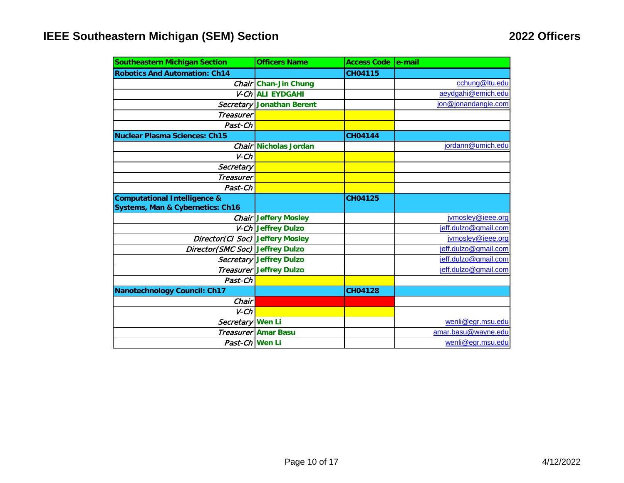| <b>Southeastern Michigan Section</b>        | <b>Officers Name</b>           | <b>Access Code</b> | le-mail              |
|---------------------------------------------|--------------------------------|--------------------|----------------------|
| <b>Robotics And Automation: Ch14</b>        |                                | <b>CH04115</b>     |                      |
|                                             | Chair Chan-Jin Chung           |                    | cchung@ltu.edu       |
|                                             | V-Ch ALI EYDGAHI               |                    | aeydgahi@emich.edu   |
|                                             | Secretary Jonathan Berent      |                    | jon@jonandangie.com  |
| <b>Treasurer</b>                            |                                |                    |                      |
| Past-Ch                                     |                                |                    |                      |
| <b>Nuclear Plasma Sciences: Ch15</b>        |                                | <b>CH04144</b>     |                      |
|                                             | Chair Nicholas Jordan          |                    | jordann@umich.edu    |
| $V$ - $Ch$                                  |                                |                    |                      |
| Secretary                                   |                                |                    |                      |
| <b>Treasurer</b>                            |                                |                    |                      |
| Past-Ch                                     |                                |                    |                      |
| <b>Computational Intelligence &amp;</b>     |                                | CH04125            |                      |
| <b>Systems, Man &amp; Cybernetics: Ch16</b> |                                |                    |                      |
|                                             | <b>Chair Jeffery Mosley</b>    |                    | jvmosley@ieee.org    |
|                                             | V-Ch Jeffrey Dulzo             |                    | jeff.dulzo@gmail.com |
| Director(CI Soc) Jeffery Mosley             |                                |                    | jvmosley@ieee.org    |
| Director(SMC Soc) Jeffrey Dulzo             |                                |                    | jeff.dulzo@gmail.com |
|                                             | Secretary Jeffrey Dulzo        |                    | jeff.dulzo@gmail.com |
|                                             | <b>Treasurer Jeffrey Dulzo</b> |                    | jeff.dulzo@gmail.com |
| Past-Ch                                     |                                |                    |                      |
| <b>Nanotechnology Council: Ch17</b>         |                                | CH04128            |                      |
| Chair                                       |                                |                    |                      |
| $V$ - $Ch$                                  |                                |                    |                      |
| Secretary Wen Li                            |                                |                    | wenli@egr.msu.edu    |
|                                             | <b>Treasurer Amar Basu</b>     |                    | amar.basu@wayne.edu  |
| Past-Ch Wen Li                              |                                |                    | wenli@egr.msu.edu    |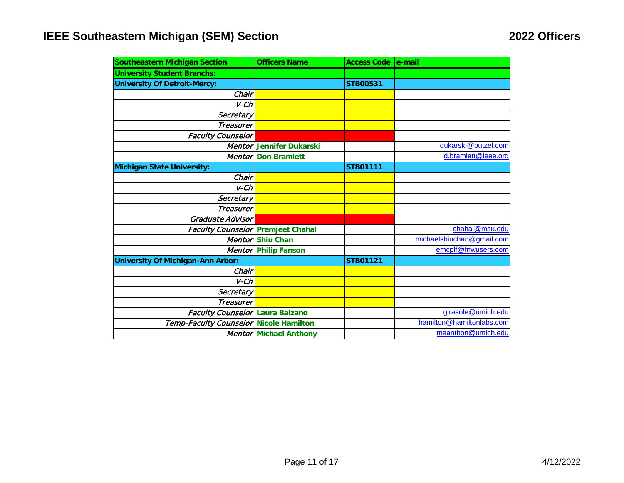| <b>Southeastern Michigan Section</b>     | <b>Officers Name</b>          | <b>Access Code</b> | le-mail                   |
|------------------------------------------|-------------------------------|--------------------|---------------------------|
| <b>University Student Branchs:</b>       |                               |                    |                           |
| <b>University Of Detroit-Mercy:</b>      |                               | <b>STB00531</b>    |                           |
| Chair                                    |                               |                    |                           |
| $V$ - $Ch$                               |                               |                    |                           |
| Secretary                                |                               |                    |                           |
| <b>Treasurer</b>                         |                               |                    |                           |
| <b>Faculty Counselor</b>                 |                               |                    |                           |
|                                          | Mentor Jennifer Dukarski      |                    | dukarski@butzel.com       |
| <b>Mentor</b>                            | <b>Don Bramlett</b>           |                    | d.bramlett@ieee.org       |
| <b>Michigan State University:</b>        |                               | <b>STB01111</b>    |                           |
| Chair                                    |                               |                    |                           |
| $v$ -Ch                                  |                               |                    |                           |
| Secretary                                |                               |                    |                           |
| <b>Treasurer</b>                         |                               |                    |                           |
| Graduate Advisor                         |                               |                    |                           |
| <b>Faculty Counselor Premjeet Chahal</b> |                               |                    | chahal@msu.edu            |
|                                          | Mentor Shiu Chan              |                    | michaelshiuchan@gmail.com |
|                                          | Mentor Philip Fanson          |                    | emcplf@fnwusers.com       |
| <b>University Of Michigan-Ann Arbor:</b> |                               | <b>STB01121</b>    |                           |
| Chair                                    |                               |                    |                           |
| $V$ - $Ch$                               |                               |                    |                           |
| Secretary                                |                               |                    |                           |
| <b>Treasurer</b>                         |                               |                    |                           |
| Faculty Counselor Laura Balzano          |                               |                    | girasole@umich.edu        |
| Temp-Faculty Counselor Nicole Hamilton   |                               |                    | hamilton@hamiltonlabs.com |
|                                          | <b>Mentor Michael Anthony</b> |                    | maanthon@umich.edu        |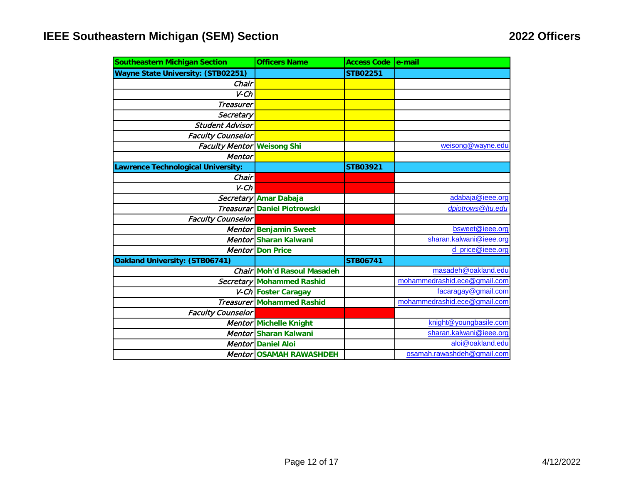| <b>Southeastern Michigan Section</b>      | <b>Officers Name</b>               | <b>Access Code</b> | le-mail                      |
|-------------------------------------------|------------------------------------|--------------------|------------------------------|
| <b>Wayne State University: (STB02251)</b> |                                    | <b>STB02251</b>    |                              |
| Chair                                     |                                    |                    |                              |
| $V$ - $Ch$                                |                                    |                    |                              |
| <b>Treasurer</b>                          |                                    |                    |                              |
| Secretary                                 |                                    |                    |                              |
| <b>Student Advisor</b>                    |                                    |                    |                              |
| <b>Faculty Counselor</b>                  |                                    |                    |                              |
| <b>Faculty Mentor Weisong Shi</b>         |                                    |                    | weisong@wayne.edu            |
| <b>Mentor</b>                             |                                    |                    |                              |
| awrence Technological University:         |                                    | <b>STB03921</b>    |                              |
| Chair                                     |                                    |                    |                              |
| $V$ - $Ch$                                |                                    |                    |                              |
|                                           | Secretary Amar Dabaja              |                    | adabaja@ieee.org             |
|                                           | <b>Treasurar Daniel Piotrowski</b> |                    | dpiotrows@Itu.edu            |
| <b>Faculty Counselor</b>                  |                                    |                    |                              |
|                                           | Mentor Benjamin Sweet              |                    | bsweet@ieee.org              |
|                                           | Mentor Sharan Kalwani              |                    | sharan.kalwani@ieee.org      |
|                                           | <b>Mentor Don Price</b>            |                    | d_price@ieee.org             |
| Oakland University: (STB06741)            |                                    | <b>STB06741</b>    |                              |
|                                           | <b>Chair Moh'd Rasoul Masadeh</b>  |                    | masadeh@oakland.edu          |
|                                           | Secretary Mohammed Rashid          |                    | mohammedrashid.ece@gmail.com |
|                                           | V-Ch Foster Caragay                |                    | facaragay@gmail.com          |
|                                           | <b>Treasurer Mohammed Rashid</b>   |                    | mohammedrashid.ece@gmail.com |
| <b>Faculty Counselor</b>                  |                                    |                    |                              |
|                                           | Mentor Michelle Knight             |                    | knight@youngbasile.com       |
|                                           | Mentor Sharan Kalwani              |                    | sharan.kalwani@ieee.org      |
|                                           | <b>Mentor Daniel Aloi</b>          |                    | aloi@oakland.edu             |
|                                           | <b>Mentor OSAMAH RAWASHDEH</b>     |                    | osamah.rawashdeh@gmail.com   |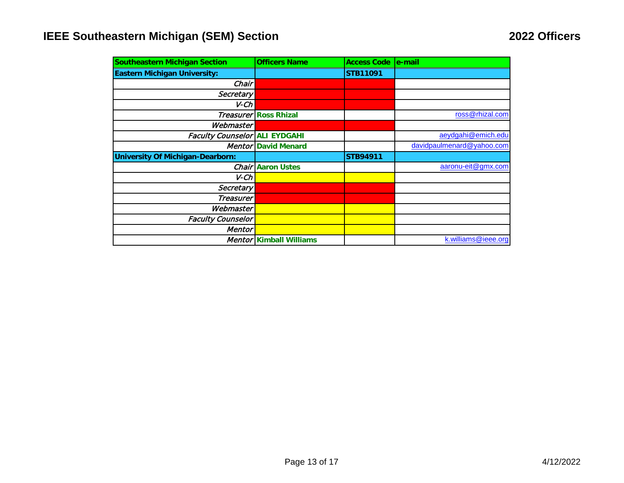| <b>Southeastern Michigan Section</b>    | <b>Officers Name</b>         | <b>Access Code</b> | e-mail                    |
|-----------------------------------------|------------------------------|--------------------|---------------------------|
| <b>Eastern Michigan University:</b>     |                              | <b>STB11091</b>    |                           |
| Chair I                                 |                              |                    |                           |
| Secretary                               |                              |                    |                           |
| V-Ch                                    |                              |                    |                           |
|                                         | <b>Treasurer Ross Rhizal</b> |                    | ross@rhizal.com           |
| Webmaster                               |                              |                    |                           |
| <b>Faculty Counselor ALI EYDGAHI</b>    |                              |                    | aeydgahi@emich.edu        |
|                                         | <b>Mentor David Menard</b>   |                    | davidpaulmenard@yahoo.com |
| <b>University Of Michigan-Dearborn:</b> |                              | <b>STB94911</b>    |                           |
|                                         | <b>Chair Aaron Ustes</b>     |                    | aaronu-eit@gmx.com        |
| V-Ch                                    |                              |                    |                           |
| Secretary                               |                              |                    |                           |
| Treasurer                               |                              |                    |                           |
| Webmaster                               |                              |                    |                           |
| <b>Faculty Counselor</b>                |                              |                    |                           |
| Mentor                                  |                              |                    |                           |
|                                         | Mentor Kimball Williams      |                    | k.williams@ieee.org       |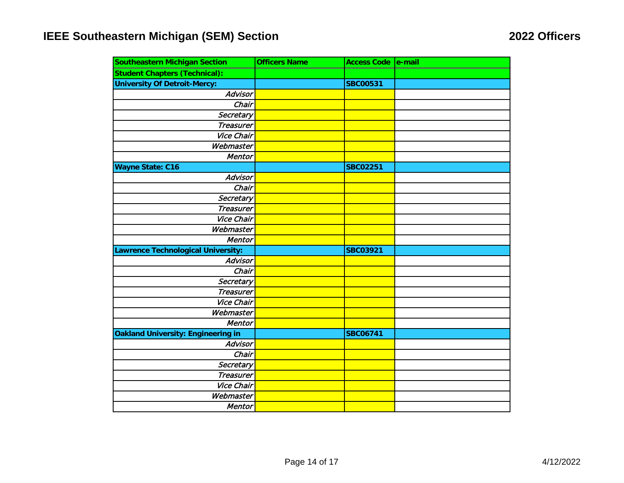| <b>Southeastern Michigan Section</b>      | <b>Officers Name</b> | Access Code e-mail |  |
|-------------------------------------------|----------------------|--------------------|--|
| <b>Student Chapters (Technical):</b>      |                      |                    |  |
| <b>University Of Detroit-Mercy:</b>       |                      | <b>SBC00531</b>    |  |
| Advisor                                   |                      |                    |  |
| Chair                                     |                      |                    |  |
| Secretary                                 |                      |                    |  |
| <b>Treasurer</b>                          |                      |                    |  |
| <b>Vice Chair</b>                         |                      |                    |  |
| Webmaster                                 |                      |                    |  |
| <b>Mentor</b>                             |                      |                    |  |
| <b>Wayne State: C16</b>                   |                      | <b>SBC02251</b>    |  |
| Advisor                                   |                      |                    |  |
| Chair                                     |                      |                    |  |
| Secretary                                 |                      |                    |  |
| <b>Treasurer</b>                          |                      |                    |  |
| Vice Chair                                |                      |                    |  |
| Webmaster                                 |                      |                    |  |
| Mentor                                    |                      |                    |  |
| Lawrence Technological University:        |                      | <b>SBC03921</b>    |  |
| Advisor                                   |                      |                    |  |
| Chair                                     |                      |                    |  |
| Secretary                                 |                      |                    |  |
| <b>Treasurer</b>                          |                      |                    |  |
| <b>Vice Chair</b>                         |                      |                    |  |
| Webmaster                                 |                      |                    |  |
| Mentor                                    |                      |                    |  |
| <b>Oakland University: Engineering in</b> |                      | <b>SBC06741</b>    |  |
| Advisor                                   |                      |                    |  |
| Chair                                     |                      |                    |  |
| Secretary                                 |                      |                    |  |
| <b>Treasurer</b>                          |                      |                    |  |
| Vice Chair                                |                      |                    |  |
| Webmaster                                 |                      |                    |  |
| Mentor                                    |                      |                    |  |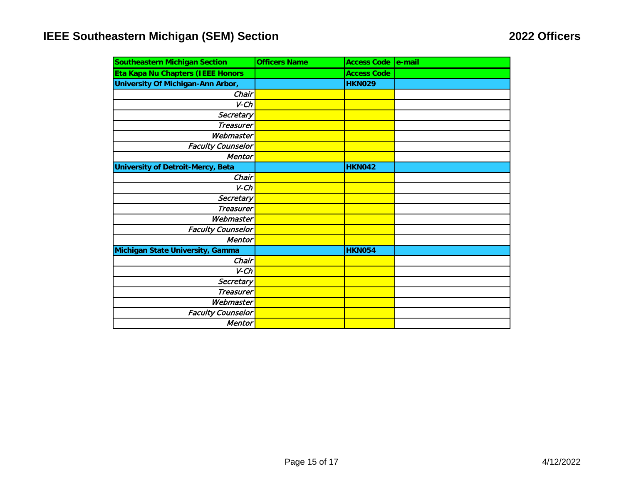| <b>Southeastern Michigan Section</b>     | <b>Officers Name</b> | <b>Access Code</b> | $ $ e-mail |
|------------------------------------------|----------------------|--------------------|------------|
| Eta Kapa Nu Chapters (IEEE Honors        |                      | <b>Access Code</b> |            |
| University Of Michigan-Ann Arbor,        |                      | <b>HKN029</b>      |            |
| Chair                                    |                      |                    |            |
| $V$ - $Ch$                               |                      |                    |            |
| Secretary                                |                      |                    |            |
| <b>Treasurer</b>                         |                      |                    |            |
| Webmaster                                |                      |                    |            |
| <b>Faculty Counselor</b>                 |                      |                    |            |
| Mentor                                   |                      |                    |            |
| <b>University of Detroit-Mercy, Beta</b> |                      | <b>HKN042</b>      |            |
| Chair                                    |                      |                    |            |
| $V$ - $Ch$                               |                      |                    |            |
| Secretary                                |                      |                    |            |
| <b>Treasurer</b>                         |                      |                    |            |
| Webmaster                                |                      |                    |            |
| <b>Faculty Counselor</b>                 |                      |                    |            |
| <b>Mentor</b>                            |                      |                    |            |
| Michigan State University, Gamma         |                      | <b>HKN054</b>      |            |
| Chair                                    |                      |                    |            |
| $V$ - $Ch$                               |                      |                    |            |
| Secretary                                |                      |                    |            |
| <b>Treasurer</b>                         |                      |                    |            |
| Webmaster                                |                      |                    |            |
| <b>Faculty Counselor</b>                 |                      |                    |            |
| <b>Mentor</b>                            |                      |                    |            |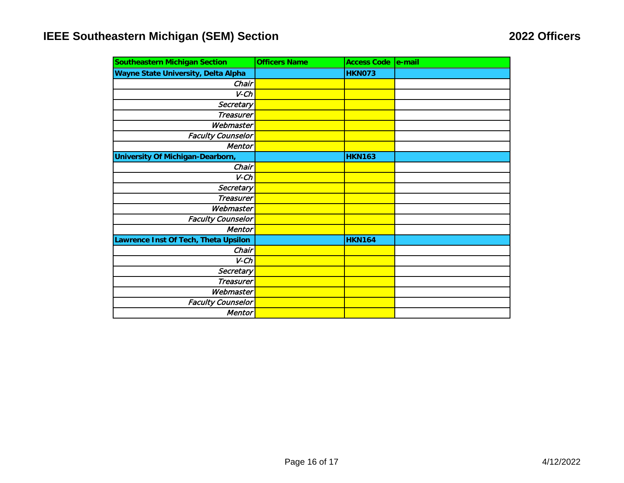| <b>Southeastern Michigan Section</b>    | <b>Officers Name</b> | <b>Access Code</b> | le-mail |
|-----------------------------------------|----------------------|--------------------|---------|
| Wayne State University, Delta Alpha     |                      | <b>HKN073</b>      |         |
| Chair                                   |                      |                    |         |
| $V$ - $Ch$                              |                      |                    |         |
| Secretary                               |                      |                    |         |
| <b>Treasurer</b>                        |                      |                    |         |
| Webmaster                               |                      |                    |         |
| <b>Faculty Counselor</b>                |                      |                    |         |
| <b>Mentor</b>                           |                      |                    |         |
| <b>University Of Michigan-Dearborn,</b> |                      | <b>HKN163</b>      |         |
| Chair                                   |                      |                    |         |
| $V$ - $Ch$                              |                      |                    |         |
| Secretary                               |                      |                    |         |
| <b>Treasurer</b>                        |                      |                    |         |
| Webmaster                               |                      |                    |         |
| <b>Faculty Counselor</b>                |                      |                    |         |
| <b>Mentor</b>                           |                      |                    |         |
| Lawrence Inst Of Tech, Theta Upsilon    |                      | <b>HKN164</b>      |         |
| Chair                                   |                      |                    |         |
| $V$ - $Ch$                              |                      |                    |         |
| Secretary                               |                      |                    |         |
| <b>Treasurer</b>                        |                      |                    |         |
| Webmaster                               |                      |                    |         |
| <b>Faculty Counselor</b>                |                      |                    |         |
| Mentor                                  |                      |                    |         |